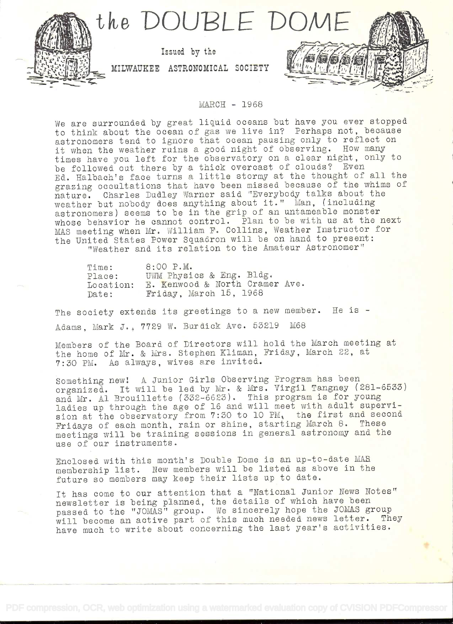

## IvIAROH - 1968

We are surrounded by great liquid oceans but have you ever stopped to think about the ocean of gas we live in? Perhaps not, because astronomers tend to ignore that ocean pausing only to reflect on it when the weather ruins a good night of observing. How many times have you left for the observatory on a clear night, only to be followed out there by a thick overcast of clouds? Even Ed. Halbach's face turns a little stormy at the thought of all the grazing occultations that have been missed because of the whims of natare. Charles Dudley Warner said. TEverybody talks about the weather but nobody does anything about it." Man, (including astronomers) seems to be in the grip of an untameable monster whose behavior he cannot control. Plan to be with us at the next MAS meeting when Mr. William F. Collins, Weather Instructor for the United States Power Squadron will be on hand to present: "Weather and its relation to the Amateur Astronomer"

| Time:     | $8:00$ $P.M.$                  |
|-----------|--------------------------------|
| Place:    | UWM Physics & Eng. Bldg.       |
| Location: | E. Kenwood & North Cramer Ave. |
| Date:     | Friday, March 15, 1968         |

The society extends its greetings to a new member. He is -Adams, Mark J., <sup>7729</sup>W. Burdick Ave. 53219 M68

Members of the Board of Directors will hold the March meeting at the home of Mr. & Mrs. Stephen Kliman, Friday, March 22, at 7:30 PM. As always, wives are invited.

Something new! A Junior Girls Observing Program has been organized. It will be led by Mr. & Mrs. Virgil Tangney (281-6533) and Mr. Al Brouillette (332-6623). This program is for young ladies up through the age of 16 and will meet with adult supervision at the observatory from 7:30 to 10 PM, the first and second Fridays of each month, rain or shine, starting March 8. These meetings will be training sessions in general astronomy and the use of our instruments.

Enclosed with this month's Double Dome is an up-to-date MAR membership list. New members will be listed as above in the future so members may keep their lists ap to date.

It has come to our attention that a "National Junior News Notes" newsletter is being planned, the details of which have been passed to the "JOMAS" group. We sincerely hope the JOMAS group passed to the "JOMAS" group. We sincerely hope the JOMAS group<br>will become an active part of this much needed news letter. They have much to write about concerning the last year's activities.